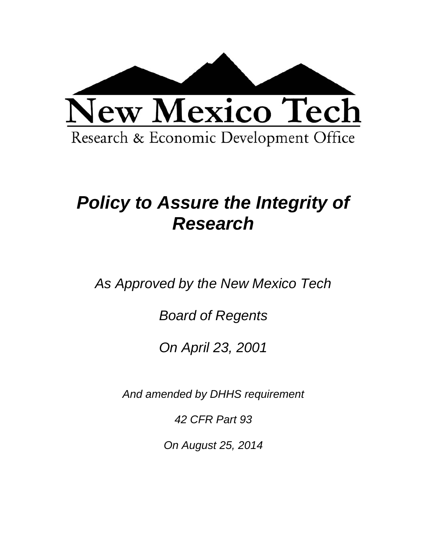

# *Policy to Assure the Integrity of Research*

*As Approved by the New Mexico Tech* 

*Board of Regents* 

*On April 23, 2001* 

*And amended by DHHS requirement* 

*42 CFR Part 93* 

*On August 25, 2014*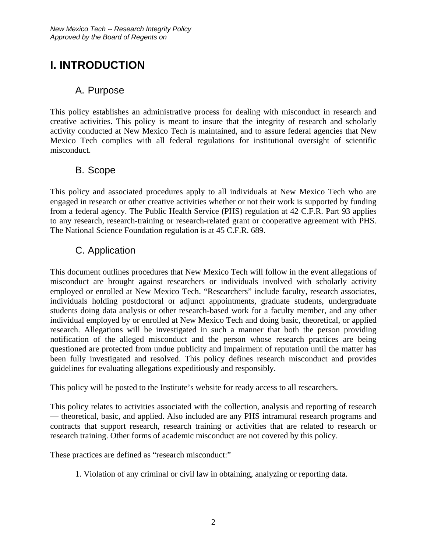# **I. INTRODUCTION**

#### A. Purpose

This policy establishes an administrative process for dealing with misconduct in research and creative activities. This policy is meant to insure that the integrity of research and scholarly activity conducted at New Mexico Tech is maintained, and to assure federal agencies that New Mexico Tech complies with all federal regulations for institutional oversight of scientific misconduct.

#### B. Scope

This policy and associated procedures apply to all individuals at New Mexico Tech who are engaged in research or other creative activities whether or not their work is supported by funding from a federal agency. The Public Health Service (PHS) regulation at 42 C.F.R. Part 93 applies to any research, research-training or research-related grant or cooperative agreement with PHS. The National Science Foundation regulation is at 45 C.F.R. 689.

### C. Application

This document outlines procedures that New Mexico Tech will follow in the event allegations of misconduct are brought against researchers or individuals involved with scholarly activity employed or enrolled at New Mexico Tech. "Researchers" include faculty, research associates, individuals holding postdoctoral or adjunct appointments, graduate students, undergraduate students doing data analysis or other research-based work for a faculty member, and any other individual employed by or enrolled at New Mexico Tech and doing basic, theoretical, or applied research. Allegations will be investigated in such a manner that both the person providing notification of the alleged misconduct and the person whose research practices are being questioned are protected from undue publicity and impairment of reputation until the matter has been fully investigated and resolved. This policy defines research misconduct and provides guidelines for evaluating allegations expeditiously and responsibly.

This policy will be posted to the Institute's website for ready access to all researchers.

This policy relates to activities associated with the collection, analysis and reporting of research — theoretical, basic, and applied. Also included are any PHS intramural research programs and contracts that support research, research training or activities that are related to research or research training. Other forms of academic misconduct are not covered by this policy.

These practices are defined as "research misconduct:"

1. Violation of any criminal or civil law in obtaining, analyzing or reporting data.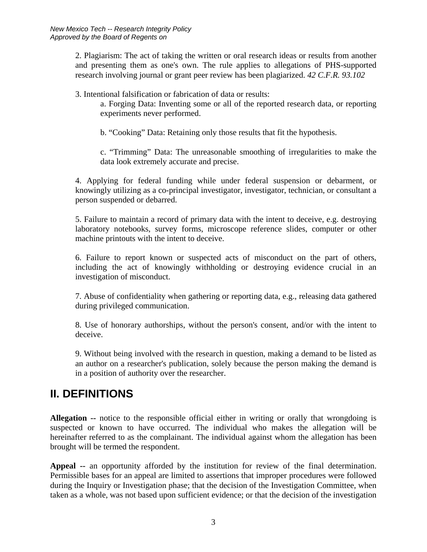2. Plagiarism: The act of taking the written or oral research ideas or results from another and presenting them as one's own. The rule applies to allegations of PHS-supported research involving journal or grant peer review has been plagiarized. *42 C.F.R. 93.102* 

3. Intentional falsification or fabrication of data or results:

a. Forging Data: Inventing some or all of the reported research data, or reporting experiments never performed.

b. "Cooking" Data: Retaining only those results that fit the hypothesis.

c. "Trimming" Data: The unreasonable smoothing of irregularities to make the data look extremely accurate and precise.

4. Applying for federal funding while under federal suspension or debarment, or knowingly utilizing as a co-principal investigator, investigator, technician, or consultant a person suspended or debarred.

5. Failure to maintain a record of primary data with the intent to deceive, e.g. destroying laboratory notebooks, survey forms, microscope reference slides, computer or other machine printouts with the intent to deceive.

6. Failure to report known or suspected acts of misconduct on the part of others, including the act of knowingly withholding or destroying evidence crucial in an investigation of misconduct.

7. Abuse of confidentiality when gathering or reporting data, e.g., releasing data gathered during privileged communication.

8. Use of honorary authorships, without the person's consent, and/or with the intent to deceive.

9. Without being involved with the research in question, making a demand to be listed as an author on a researcher's publication, solely because the person making the demand is in a position of authority over the researcher.

## **II. DEFINITIONS**

**Allegation --** notice to the responsible official either in writing or orally that wrongdoing is suspected or known to have occurred. The individual who makes the allegation will be hereinafter referred to as the complainant. The individual against whom the allegation has been brought will be termed the respondent.

**Appeal --** an opportunity afforded by the institution for review of the final determination. Permissible bases for an appeal are limited to assertions that improper procedures were followed during the Inquiry or Investigation phase; that the decision of the Investigation Committee, when taken as a whole, was not based upon sufficient evidence; or that the decision of the investigation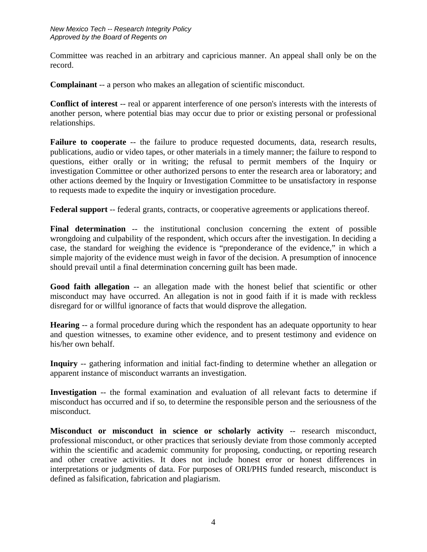Committee was reached in an arbitrary and capricious manner. An appeal shall only be on the record.

**Complainant** -- a person who makes an allegation of scientific misconduct.

**Conflict of interest** -- real or apparent interference of one person's interests with the interests of another person, where potential bias may occur due to prior or existing personal or professional relationships.

**Failure to cooperate** -- the failure to produce requested documents, data, research results, publications, audio or video tapes, or other materials in a timely manner; the failure to respond to questions, either orally or in writing; the refusal to permit members of the Inquiry or investigation Committee or other authorized persons to enter the research area or laboratory; and other actions deemed by the Inquiry or Investigation Committee to be unsatisfactory in response to requests made to expedite the inquiry or investigation procedure.

**Federal support** -- federal grants, contracts, or cooperative agreements or applications thereof.

**Final determination** -- the institutional conclusion concerning the extent of possible wrongdoing and culpability of the respondent, which occurs after the investigation. In deciding a case, the standard for weighing the evidence is "preponderance of the evidence," in which a simple majority of the evidence must weigh in favor of the decision. A presumption of innocence should prevail until a final determination concerning guilt has been made.

Good faith allegation -- an allegation made with the honest belief that scientific or other misconduct may have occurred. An allegation is not in good faith if it is made with reckless disregard for or willful ignorance of facts that would disprove the allegation.

**Hearing** -- a formal procedure during which the respondent has an adequate opportunity to hear and question witnesses, to examine other evidence, and to present testimony and evidence on his/her own behalf.

**Inquiry** -- gathering information and initial fact-finding to determine whether an allegation or apparent instance of misconduct warrants an investigation.

**Investigation** -- the formal examination and evaluation of all relevant facts to determine if misconduct has occurred and if so, to determine the responsible person and the seriousness of the misconduct.

**Misconduct or misconduct in science or scholarly activity** -- research misconduct, professional misconduct, or other practices that seriously deviate from those commonly accepted within the scientific and academic community for proposing, conducting, or reporting research and other creative activities. It does not include honest error or honest differences in interpretations or judgments of data. For purposes of ORI/PHS funded research, misconduct is defined as falsification, fabrication and plagiarism.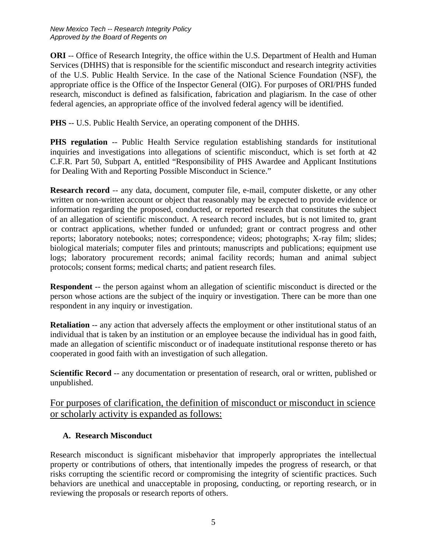**ORI** -- Office of Research Integrity, the office within the U.S. Department of Health and Human Services (DHHS) that is responsible for the scientific misconduct and research integrity activities of the U.S. Public Health Service. In the case of the National Science Foundation (NSF), the appropriate office is the Office of the Inspector General (OIG). For purposes of ORI/PHS funded research, misconduct is defined as falsification, fabrication and plagiarism. In the case of other federal agencies, an appropriate office of the involved federal agency will be identified.

**PHS** -- U.S. Public Health Service, an operating component of the DHHS.

**PHS regulation** -- Public Health Service regulation establishing standards for institutional inquiries and investigations into allegations of scientific misconduct, which is set forth at 42 C.F.R. Part 50, Subpart A, entitled "Responsibility of PHS Awardee and Applicant Institutions for Dealing With and Reporting Possible Misconduct in Science."

**Research record** -- any data, document, computer file, e-mail, computer diskette, or any other written or non-written account or object that reasonably may be expected to provide evidence or information regarding the proposed, conducted, or reported research that constitutes the subject of an allegation of scientific misconduct. A research record includes, but is not limited to, grant or contract applications, whether funded or unfunded; grant or contract progress and other reports; laboratory notebooks; notes; correspondence; videos; photographs; X-ray film; slides; biological materials; computer files and printouts; manuscripts and publications; equipment use logs; laboratory procurement records; animal facility records; human and animal subject protocols; consent forms; medical charts; and patient research files.

**Respondent** -- the person against whom an allegation of scientific misconduct is directed or the person whose actions are the subject of the inquiry or investigation. There can be more than one respondent in any inquiry or investigation.

**Retaliation** -- any action that adversely affects the employment or other institutional status of an individual that is taken by an institution or an employee because the individual has in good faith, made an allegation of scientific misconduct or of inadequate institutional response thereto or has cooperated in good faith with an investigation of such allegation.

**Scientific Record** -- any documentation or presentation of research, oral or written, published or unpublished.

For purposes of clarification, the definition of misconduct or misconduct in science or scholarly activity is expanded as follows:

#### **A. Research Misconduct**

Research misconduct is significant misbehavior that improperly appropriates the intellectual property or contributions of others, that intentionally impedes the progress of research, or that risks corrupting the scientific record or compromising the integrity of scientific practices. Such behaviors are unethical and unacceptable in proposing, conducting, or reporting research, or in reviewing the proposals or research reports of others.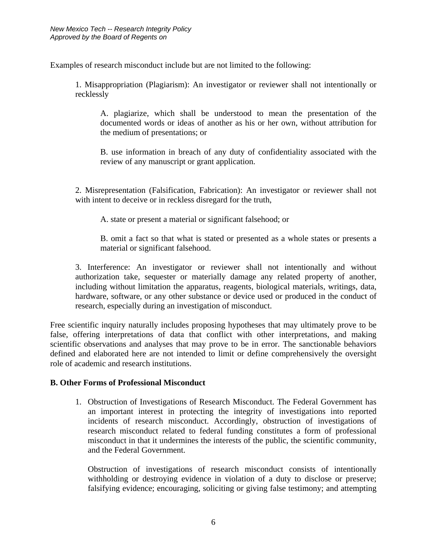Examples of research misconduct include but are not limited to the following:

1. Misappropriation (Plagiarism): An investigator or reviewer shall not intentionally or recklessly

A. plagiarize, which shall be understood to mean the presentation of the documented words or ideas of another as his or her own, without attribution for the medium of presentations; or

B. use information in breach of any duty of confidentiality associated with the review of any manuscript or grant application.

2. Misrepresentation (Falsification, Fabrication): An investigator or reviewer shall not with intent to deceive or in reckless disregard for the truth,

A. state or present a material or significant falsehood; or

B. omit a fact so that what is stated or presented as a whole states or presents a material or significant falsehood.

3. Interference: An investigator or reviewer shall not intentionally and without authorization take, sequester or materially damage any related property of another, including without limitation the apparatus, reagents, biological materials, writings, data, hardware, software, or any other substance or device used or produced in the conduct of research, especially during an investigation of misconduct.

Free scientific inquiry naturally includes proposing hypotheses that may ultimately prove to be false, offering interpretations of data that conflict with other interpretations, and making scientific observations and analyses that may prove to be in error. The sanctionable behaviors defined and elaborated here are not intended to limit or define comprehensively the oversight role of academic and research institutions.

#### **B. Other Forms of Professional Misconduct**

1. Obstruction of Investigations of Research Misconduct. The Federal Government has an important interest in protecting the integrity of investigations into reported incidents of research misconduct. Accordingly, obstruction of investigations of research misconduct related to federal funding constitutes a form of professional misconduct in that it undermines the interests of the public, the scientific community, and the Federal Government.

Obstruction of investigations of research misconduct consists of intentionally withholding or destroying evidence in violation of a duty to disclose or preserve; falsifying evidence; encouraging, soliciting or giving false testimony; and attempting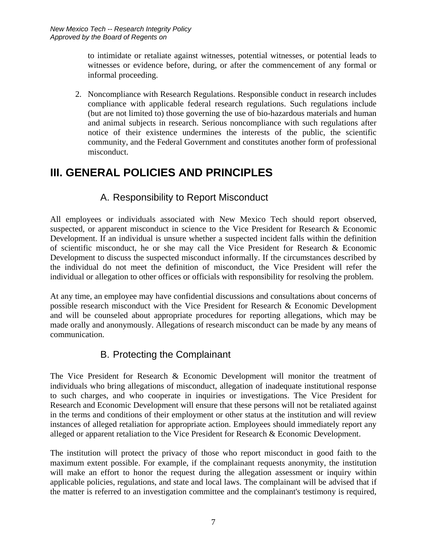to intimidate or retaliate against witnesses, potential witnesses, or potential leads to witnesses or evidence before, during, or after the commencement of any formal or informal proceeding.

2. Noncompliance with Research Regulations. Responsible conduct in research includes compliance with applicable federal research regulations. Such regulations include (but are not limited to) those governing the use of bio-hazardous materials and human and animal subjects in research. Serious noncompliance with such regulations after notice of their existence undermines the interests of the public, the scientific community, and the Federal Government and constitutes another form of professional misconduct.

### **III. GENERAL POLICIES AND PRINCIPLES**

#### A. Responsibility to Report Misconduct

All employees or individuals associated with New Mexico Tech should report observed, suspected, or apparent misconduct in science to the Vice President for Research & Economic Development. If an individual is unsure whether a suspected incident falls within the definition of scientific misconduct, he or she may call the Vice President for Research & Economic Development to discuss the suspected misconduct informally. If the circumstances described by the individual do not meet the definition of misconduct, the Vice President will refer the individual or allegation to other offices or officials with responsibility for resolving the problem.

At any time, an employee may have confidential discussions and consultations about concerns of possible research misconduct with the Vice President for Research & Economic Development and will be counseled about appropriate procedures for reporting allegations, which may be made orally and anonymously. Allegations of research misconduct can be made by any means of communication.

#### B. Protecting the Complainant

The Vice President for Research & Economic Development will monitor the treatment of individuals who bring allegations of misconduct, allegation of inadequate institutional response to such charges, and who cooperate in inquiries or investigations. The Vice President for Research and Economic Development will ensure that these persons will not be retaliated against in the terms and conditions of their employment or other status at the institution and will review instances of alleged retaliation for appropriate action. Employees should immediately report any alleged or apparent retaliation to the Vice President for Research & Economic Development.

The institution will protect the privacy of those who report misconduct in good faith to the maximum extent possible. For example, if the complainant requests anonymity, the institution will make an effort to honor the request during the allegation assessment or inquiry within applicable policies, regulations, and state and local laws. The complainant will be advised that if the matter is referred to an investigation committee and the complainant's testimony is required,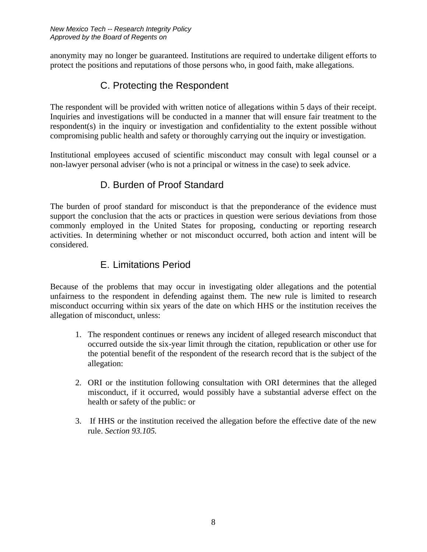anonymity may no longer be guaranteed. Institutions are required to undertake diligent efforts to protect the positions and reputations of those persons who, in good faith, make allegations.

### C. Protecting the Respondent

The respondent will be provided with written notice of allegations within 5 days of their receipt. Inquiries and investigations will be conducted in a manner that will ensure fair treatment to the respondent(s) in the inquiry or investigation and confidentiality to the extent possible without compromising public health and safety or thoroughly carrying out the inquiry or investigation.

Institutional employees accused of scientific misconduct may consult with legal counsel or a non-lawyer personal adviser (who is not a principal or witness in the case) to seek advice.

### D. Burden of Proof Standard

The burden of proof standard for misconduct is that the preponderance of the evidence must support the conclusion that the acts or practices in question were serious deviations from those commonly employed in the United States for proposing, conducting or reporting research activities. In determining whether or not misconduct occurred, both action and intent will be considered.

#### E. Limitations Period

Because of the problems that may occur in investigating older allegations and the potential unfairness to the respondent in defending against them. The new rule is limited to research misconduct occurring within six years of the date on which HHS or the institution receives the allegation of misconduct, unless:

- 1. The respondent continues or renews any incident of alleged research misconduct that occurred outside the six-year limit through the citation, republication or other use for the potential benefit of the respondent of the research record that is the subject of the allegation:
- 2. ORI or the institution following consultation with ORI determines that the alleged misconduct, if it occurred, would possibly have a substantial adverse effect on the health or safety of the public: or
- 3. If HHS or the institution received the allegation before the effective date of the new rule. *Section 93.105.*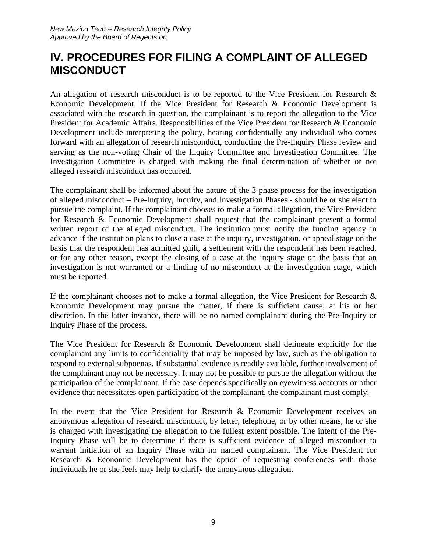### **IV. PROCEDURES FOR FILING A COMPLAINT OF ALLEGED MISCONDUCT**

An allegation of research misconduct is to be reported to the Vice President for Research & Economic Development. If the Vice President for Research & Economic Development is associated with the research in question, the complainant is to report the allegation to the Vice President for Academic Affairs. Responsibilities of the Vice President for Research & Economic Development include interpreting the policy, hearing confidentially any individual who comes forward with an allegation of research misconduct, conducting the Pre-Inquiry Phase review and serving as the non-voting Chair of the Inquiry Committee and Investigation Committee. The Investigation Committee is charged with making the final determination of whether or not alleged research misconduct has occurred.

The complainant shall be informed about the nature of the 3-phase process for the investigation of alleged misconduct – Pre-Inquiry, Inquiry, and Investigation Phases - should he or she elect to pursue the complaint. If the complainant chooses to make a formal allegation, the Vice President for Research & Economic Development shall request that the complainant present a formal written report of the alleged misconduct. The institution must notify the funding agency in advance if the institution plans to close a case at the inquiry, investigation, or appeal stage on the basis that the respondent has admitted guilt, a settlement with the respondent has been reached, or for any other reason, except the closing of a case at the inquiry stage on the basis that an investigation is not warranted or a finding of no misconduct at the investigation stage, which must be reported.

If the complainant chooses not to make a formal allegation, the Vice President for Research  $\&$ Economic Development may pursue the matter, if there is sufficient cause, at his or her discretion. In the latter instance, there will be no named complainant during the Pre-Inquiry or Inquiry Phase of the process.

The Vice President for Research & Economic Development shall delineate explicitly for the complainant any limits to confidentiality that may be imposed by law, such as the obligation to respond to external subpoenas. If substantial evidence is readily available, further involvement of the complainant may not be necessary. It may not be possible to pursue the allegation without the participation of the complainant. If the case depends specifically on eyewitness accounts or other evidence that necessitates open participation of the complainant, the complainant must comply.

In the event that the Vice President for Research & Economic Development receives an anonymous allegation of research misconduct, by letter, telephone, or by other means, he or she is charged with investigating the allegation to the fullest extent possible. The intent of the Pre-Inquiry Phase will be to determine if there is sufficient evidence of alleged misconduct to warrant initiation of an Inquiry Phase with no named complainant. The Vice President for Research & Economic Development has the option of requesting conferences with those individuals he or she feels may help to clarify the anonymous allegation.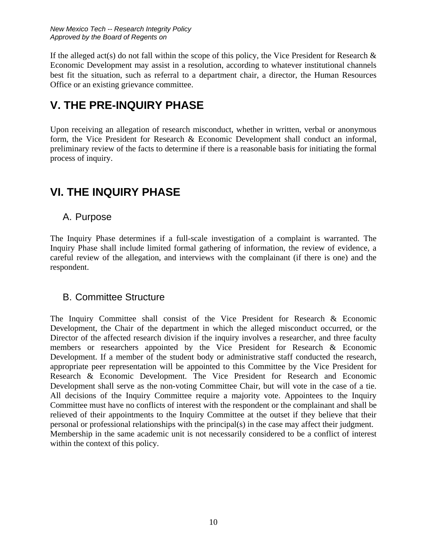If the alleged act(s) do not fall within the scope of this policy, the Vice President for Research  $\&$ Economic Development may assist in a resolution, according to whatever institutional channels best fit the situation, such as referral to a department chair, a director, the Human Resources Office or an existing grievance committee.

### **V. THE PRE-INQUIRY PHASE**

Upon receiving an allegation of research misconduct, whether in written, verbal or anonymous form, the Vice President for Research & Economic Development shall conduct an informal, preliminary review of the facts to determine if there is a reasonable basis for initiating the formal process of inquiry.

### **VI. THE INQUIRY PHASE**

#### A. Purpose

The Inquiry Phase determines if a full-scale investigation of a complaint is warranted. The Inquiry Phase shall include limited formal gathering of information, the review of evidence, a careful review of the allegation, and interviews with the complainant (if there is one) and the respondent.

#### B. Committee Structure

The Inquiry Committee shall consist of the Vice President for Research & Economic Development, the Chair of the department in which the alleged misconduct occurred, or the Director of the affected research division if the inquiry involves a researcher, and three faculty members or researchers appointed by the Vice President for Research & Economic Development. If a member of the student body or administrative staff conducted the research, appropriate peer representation will be appointed to this Committee by the Vice President for Research & Economic Development. The Vice President for Research and Economic Development shall serve as the non-voting Committee Chair, but will vote in the case of a tie. All decisions of the Inquiry Committee require a majority vote. Appointees to the Inquiry Committee must have no conflicts of interest with the respondent or the complainant and shall be relieved of their appointments to the Inquiry Committee at the outset if they believe that their personal or professional relationships with the principal(s) in the case may affect their judgment. Membership in the same academic unit is not necessarily considered to be a conflict of interest within the context of this policy.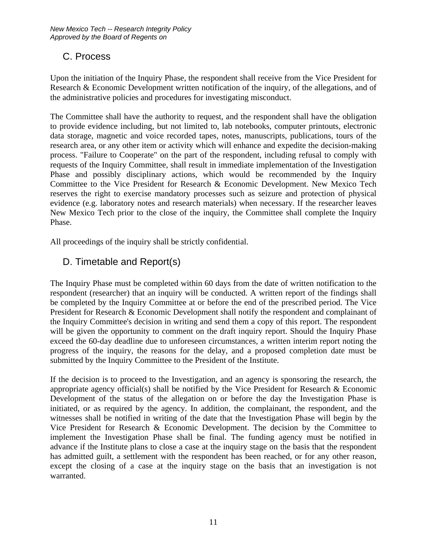#### C. Process

Upon the initiation of the Inquiry Phase, the respondent shall receive from the Vice President for Research & Economic Development written notification of the inquiry, of the allegations, and of the administrative policies and procedures for investigating misconduct.

The Committee shall have the authority to request, and the respondent shall have the obligation to provide evidence including, but not limited to, lab notebooks, computer printouts, electronic data storage, magnetic and voice recorded tapes, notes, manuscripts, publications, tours of the research area, or any other item or activity which will enhance and expedite the decision-making process. "Failure to Cooperate" on the part of the respondent, including refusal to comply with requests of the Inquiry Committee, shall result in immediate implementation of the Investigation Phase and possibly disciplinary actions, which would be recommended by the Inquiry Committee to the Vice President for Research & Economic Development. New Mexico Tech reserves the right to exercise mandatory processes such as seizure and protection of physical evidence (e.g. laboratory notes and research materials) when necessary. If the researcher leaves New Mexico Tech prior to the close of the inquiry, the Committee shall complete the Inquiry Phase.

All proceedings of the inquiry shall be strictly confidential.

#### D. Timetable and Report(s)

The Inquiry Phase must be completed within 60 days from the date of written notification to the respondent (researcher) that an inquiry will be conducted. A written report of the findings shall be completed by the Inquiry Committee at or before the end of the prescribed period. The Vice President for Research & Economic Development shall notify the respondent and complainant of the Inquiry Committee's decision in writing and send them a copy of this report. The respondent will be given the opportunity to comment on the draft inquiry report. Should the Inquiry Phase exceed the 60-day deadline due to unforeseen circumstances, a written interim report noting the progress of the inquiry, the reasons for the delay, and a proposed completion date must be submitted by the Inquiry Committee to the President of the Institute.

If the decision is to proceed to the Investigation, and an agency is sponsoring the research, the appropriate agency official(s) shall be notified by the Vice President for Research & Economic Development of the status of the allegation on or before the day the Investigation Phase is initiated, or as required by the agency. In addition, the complainant, the respondent, and the witnesses shall be notified in writing of the date that the Investigation Phase will begin by the Vice President for Research & Economic Development. The decision by the Committee to implement the Investigation Phase shall be final. The funding agency must be notified in advance if the Institute plans to close a case at the inquiry stage on the basis that the respondent has admitted guilt, a settlement with the respondent has been reached, or for any other reason, except the closing of a case at the inquiry stage on the basis that an investigation is not warranted.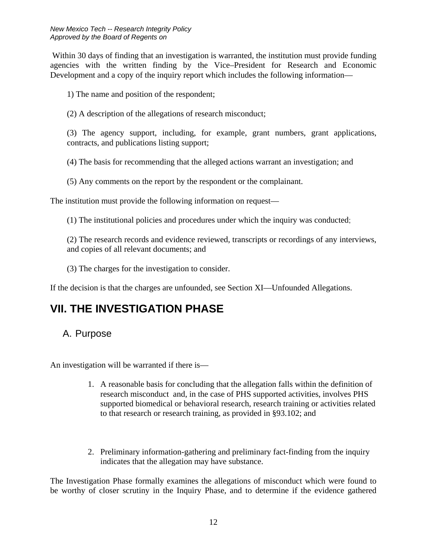Within 30 days of finding that an investigation is warranted, the institution must provide funding agencies with the written finding by the Vice–President for Research and Economic Development and a copy of the inquiry report which includes the following information—

1) The name and position of the respondent;

(2) A description of the allegations of research misconduct;

(3) The agency support, including, for example, grant numbers, grant applications, contracts, and publications listing support;

(4) The basis for recommending that the alleged actions warrant an investigation; and

(5) Any comments on the report by the respondent or the complainant.

The institution must provide the following information on request—

(1) The institutional policies and procedures under which the inquiry was conducted;

(2) The research records and evidence reviewed, transcripts or recordings of any interviews, and copies of all relevant documents; and

(3) The charges for the investigation to consider.

If the decision is that the charges are unfounded, see Section XI—Unfounded Allegations.

## **VII. THE INVESTIGATION PHASE**

#### A. Purpose

An investigation will be warranted if there is—

- 1. A reasonable basis for concluding that the allegation falls within the definition of research misconduct and, in the case of PHS supported activities, involves PHS supported biomedical or behavioral research, research training or activities related to that research or research training, as provided in §93.102; and
- 2. Preliminary information-gathering and preliminary fact-finding from the inquiry indicates that the allegation may have substance.

The Investigation Phase formally examines the allegations of misconduct which were found to be worthy of closer scrutiny in the Inquiry Phase, and to determine if the evidence gathered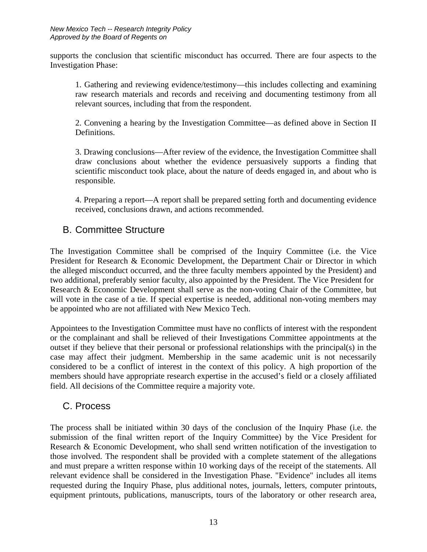supports the conclusion that scientific misconduct has occurred. There are four aspects to the Investigation Phase:

1. Gathering and reviewing evidence/testimony—this includes collecting and examining raw research materials and records and receiving and documenting testimony from all relevant sources, including that from the respondent.

2. Convening a hearing by the Investigation Committee—as defined above in Section II Definitions.

3. Drawing conclusions—After review of the evidence, the Investigation Committee shall draw conclusions about whether the evidence persuasively supports a finding that scientific misconduct took place, about the nature of deeds engaged in, and about who is responsible.

4. Preparing a report—A report shall be prepared setting forth and documenting evidence received, conclusions drawn, and actions recommended.

#### B. Committee Structure

The Investigation Committee shall be comprised of the Inquiry Committee (i.e. the Vice President for Research & Economic Development, the Department Chair or Director in which the alleged misconduct occurred, and the three faculty members appointed by the President) and two additional, preferably senior faculty, also appointed by the President. The Vice President for Research & Economic Development shall serve as the non-voting Chair of the Committee, but will vote in the case of a tie. If special expertise is needed, additional non-voting members may be appointed who are not affiliated with New Mexico Tech.

Appointees to the Investigation Committee must have no conflicts of interest with the respondent or the complainant and shall be relieved of their Investigations Committee appointments at the outset if they believe that their personal or professional relationships with the principal(s) in the case may affect their judgment. Membership in the same academic unit is not necessarily considered to be a conflict of interest in the context of this policy. A high proportion of the members should have appropriate research expertise in the accused's field or a closely affiliated field. All decisions of the Committee require a majority vote.

#### C. Process

The process shall be initiated within 30 days of the conclusion of the Inquiry Phase (i.e. the submission of the final written report of the Inquiry Committee) by the Vice President for Research & Economic Development, who shall send written notification of the investigation to those involved. The respondent shall be provided with a complete statement of the allegations and must prepare a written response within 10 working days of the receipt of the statements. All relevant evidence shall be considered in the Investigation Phase. "Evidence" includes all items requested during the Inquiry Phase, plus additional notes, journals, letters, computer printouts, equipment printouts, publications, manuscripts, tours of the laboratory or other research area,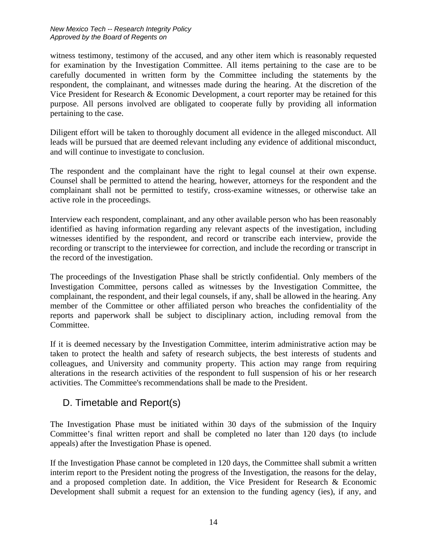witness testimony, testimony of the accused, and any other item which is reasonably requested for examination by the Investigation Committee. All items pertaining to the case are to be carefully documented in written form by the Committee including the statements by the respondent, the complainant, and witnesses made during the hearing. At the discretion of the Vice President for Research & Economic Development, a court reporter may be retained for this purpose. All persons involved are obligated to cooperate fully by providing all information pertaining to the case.

Diligent effort will be taken to thoroughly document all evidence in the alleged misconduct. All leads will be pursued that are deemed relevant including any evidence of additional misconduct, and will continue to investigate to conclusion.

The respondent and the complainant have the right to legal counsel at their own expense. Counsel shall be permitted to attend the hearing, however, attorneys for the respondent and the complainant shall not be permitted to testify, cross-examine witnesses, or otherwise take an active role in the proceedings.

Interview each respondent, complainant, and any other available person who has been reasonably identified as having information regarding any relevant aspects of the investigation, including witnesses identified by the respondent, and record or transcribe each interview, provide the recording or transcript to the interviewee for correction, and include the recording or transcript in the record of the investigation.

The proceedings of the Investigation Phase shall be strictly confidential. Only members of the Investigation Committee, persons called as witnesses by the Investigation Committee, the complainant, the respondent, and their legal counsels, if any, shall be allowed in the hearing. Any member of the Committee or other affiliated person who breaches the confidentiality of the reports and paperwork shall be subject to disciplinary action, including removal from the Committee.

If it is deemed necessary by the Investigation Committee, interim administrative action may be taken to protect the health and safety of research subjects, the best interests of students and colleagues, and University and community property. This action may range from requiring alterations in the research activities of the respondent to full suspension of his or her research activities. The Committee's recommendations shall be made to the President.

#### D. Timetable and Report(s)

The Investigation Phase must be initiated within 30 days of the submission of the Inquiry Committee's final written report and shall be completed no later than 120 days (to include appeals) after the Investigation Phase is opened.

If the Investigation Phase cannot be completed in 120 days, the Committee shall submit a written interim report to the President noting the progress of the Investigation, the reasons for the delay, and a proposed completion date. In addition, the Vice President for Research & Economic Development shall submit a request for an extension to the funding agency (ies), if any, and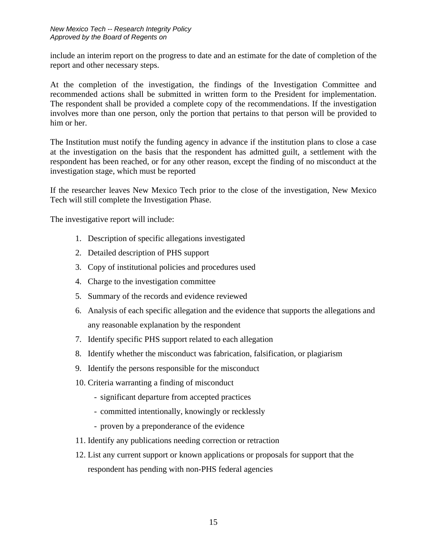include an interim report on the progress to date and an estimate for the date of completion of the report and other necessary steps.

At the completion of the investigation, the findings of the Investigation Committee and recommended actions shall be submitted in written form to the President for implementation. The respondent shall be provided a complete copy of the recommendations. If the investigation involves more than one person, only the portion that pertains to that person will be provided to him or her.

The Institution must notify the funding agency in advance if the institution plans to close a case at the investigation on the basis that the respondent has admitted guilt, a settlement with the respondent has been reached, or for any other reason, except the finding of no misconduct at the investigation stage, which must be reported

If the researcher leaves New Mexico Tech prior to the close of the investigation, New Mexico Tech will still complete the Investigation Phase.

The investigative report will include:

- 1. Description of specific allegations investigated
- 2. Detailed description of PHS support
- 3. Copy of institutional policies and procedures used
- 4. Charge to the investigation committee
- 5. Summary of the records and evidence reviewed
- 6. Analysis of each specific allegation and the evidence that supports the allegations and any reasonable explanation by the respondent
- 7. Identify specific PHS support related to each allegation
- 8. Identify whether the misconduct was fabrication, falsification, or plagiarism
- 9. Identify the persons responsible for the misconduct
- 10. Criteria warranting a finding of misconduct
	- significant departure from accepted practices
	- committed intentionally, knowingly or recklessly
	- proven by a preponderance of the evidence
- 11. Identify any publications needing correction or retraction
- 12. List any current support or known applications or proposals for support that the respondent has pending with non-PHS federal agencies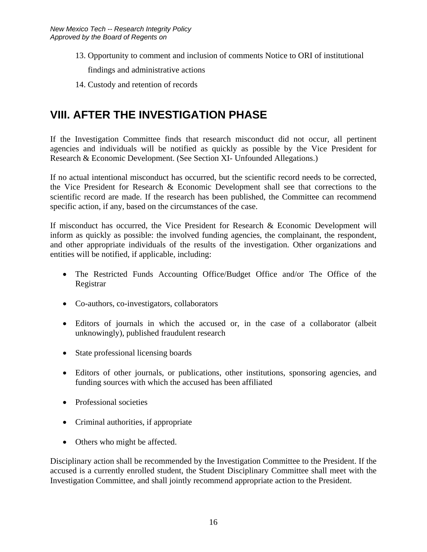- 13. Opportunity to comment and inclusion of comments Notice to ORI of institutional findings and administrative actions
- 14. Custody and retention of records

## **VIII. AFTER THE INVESTIGATION PHASE**

If the Investigation Committee finds that research misconduct did not occur, all pertinent agencies and individuals will be notified as quickly as possible by the Vice President for Research & Economic Development. (See Section XI- Unfounded Allegations.)

If no actual intentional misconduct has occurred, but the scientific record needs to be corrected, the Vice President for Research & Economic Development shall see that corrections to the scientific record are made. If the research has been published, the Committee can recommend specific action, if any, based on the circumstances of the case.

If misconduct has occurred, the Vice President for Research & Economic Development will inform as quickly as possible: the involved funding agencies, the complainant, the respondent, and other appropriate individuals of the results of the investigation. Other organizations and entities will be notified, if applicable, including:

- The Restricted Funds Accounting Office/Budget Office and/or The Office of the Registrar
- Co-authors, co-investigators, collaborators
- Editors of journals in which the accused or, in the case of a collaborator (albeit unknowingly), published fraudulent research
- State professional licensing boards
- Editors of other journals, or publications, other institutions, sponsoring agencies, and funding sources with which the accused has been affiliated
- Professional societies
- Criminal authorities, if appropriate
- Others who might be affected.

Disciplinary action shall be recommended by the Investigation Committee to the President. If the accused is a currently enrolled student, the Student Disciplinary Committee shall meet with the Investigation Committee, and shall jointly recommend appropriate action to the President.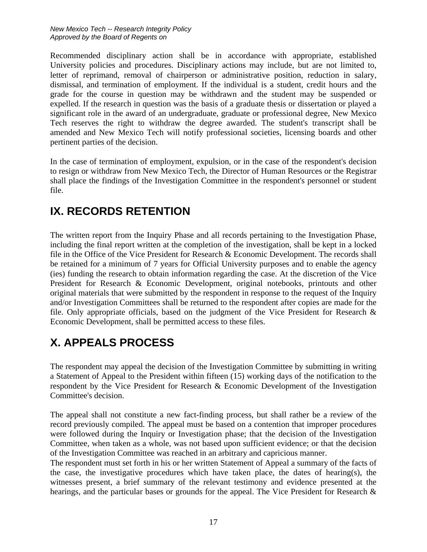Recommended disciplinary action shall be in accordance with appropriate, established University policies and procedures. Disciplinary actions may include, but are not limited to, letter of reprimand, removal of chairperson or administrative position, reduction in salary, dismissal, and termination of employment. If the individual is a student, credit hours and the grade for the course in question may be withdrawn and the student may be suspended or expelled. If the research in question was the basis of a graduate thesis or dissertation or played a significant role in the award of an undergraduate, graduate or professional degree, New Mexico Tech reserves the right to withdraw the degree awarded. The student's transcript shall be amended and New Mexico Tech will notify professional societies, licensing boards and other pertinent parties of the decision.

In the case of termination of employment, expulsion, or in the case of the respondent's decision to resign or withdraw from New Mexico Tech, the Director of Human Resources or the Registrar shall place the findings of the Investigation Committee in the respondent's personnel or student file.

### **IX. RECORDS RETENTION**

The written report from the Inquiry Phase and all records pertaining to the Investigation Phase, including the final report written at the completion of the investigation, shall be kept in a locked file in the Office of the Vice President for Research & Economic Development. The records shall be retained for a minimum of 7 years for Official University purposes and to enable the agency (ies) funding the research to obtain information regarding the case. At the discretion of the Vice President for Research & Economic Development, original notebooks, printouts and other original materials that were submitted by the respondent in response to the request of the Inquiry and/or Investigation Committees shall be returned to the respondent after copies are made for the file. Only appropriate officials, based on the judgment of the Vice President for Research & Economic Development, shall be permitted access to these files.

# **X. APPEALS PROCESS**

The respondent may appeal the decision of the Investigation Committee by submitting in writing a Statement of Appeal to the President within fifteen (15) working days of the notification to the respondent by the Vice President for Research & Economic Development of the Investigation Committee's decision.

The appeal shall not constitute a new fact-finding process, but shall rather be a review of the record previously compiled. The appeal must be based on a contention that improper procedures were followed during the Inquiry or Investigation phase; that the decision of the Investigation Committee, when taken as a whole, was not based upon sufficient evidence; or that the decision of the Investigation Committee was reached in an arbitrary and capricious manner.

The respondent must set forth in his or her written Statement of Appeal a summary of the facts of the case, the investigative procedures which have taken place, the dates of hearing(s), the witnesses present, a brief summary of the relevant testimony and evidence presented at the hearings, and the particular bases or grounds for the appeal. The Vice President for Research &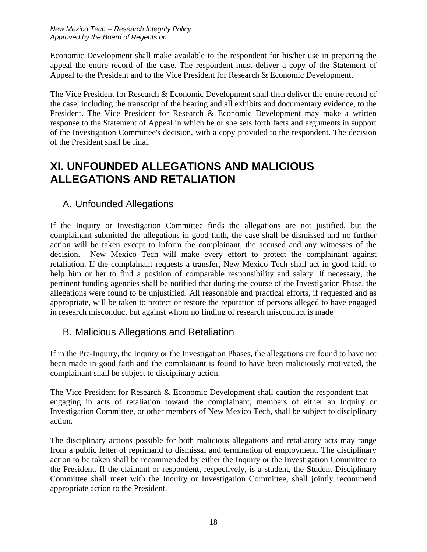Economic Development shall make available to the respondent for his/her use in preparing the appeal the entire record of the case. The respondent must deliver a copy of the Statement of Appeal to the President and to the Vice President for Research & Economic Development.

The Vice President for Research & Economic Development shall then deliver the entire record of the case, including the transcript of the hearing and all exhibits and documentary evidence, to the President. The Vice President for Research & Economic Development may make a written response to the Statement of Appeal in which he or she sets forth facts and arguments in support of the Investigation Committee's decision, with a copy provided to the respondent. The decision of the President shall be final.

### **XI. UNFOUNDED ALLEGATIONS AND MALICIOUS ALLEGATIONS AND RETALIATION**

#### A. Unfounded Allegations

If the Inquiry or Investigation Committee finds the allegations are not justified, but the complainant submitted the allegations in good faith, the case shall be dismissed and no further action will be taken except to inform the complainant, the accused and any witnesses of the decision. New Mexico Tech will make every effort to protect the complainant against retaliation. If the complainant requests a transfer, New Mexico Tech shall act in good faith to help him or her to find a position of comparable responsibility and salary. If necessary, the pertinent funding agencies shall be notified that during the course of the Investigation Phase, the allegations were found to be unjustified. All reasonable and practical efforts, if requested and as appropriate, will be taken to protect or restore the reputation of persons alleged to have engaged in research misconduct but against whom no finding of research misconduct is made

#### B. Malicious Allegations and Retaliation

If in the Pre-Inquiry, the Inquiry or the Investigation Phases, the allegations are found to have not been made in good faith and the complainant is found to have been maliciously motivated, the complainant shall be subject to disciplinary action.

The Vice President for Research & Economic Development shall caution the respondent that engaging in acts of retaliation toward the complainant, members of either an Inquiry or Investigation Committee, or other members of New Mexico Tech, shall be subject to disciplinary action.

The disciplinary actions possible for both malicious allegations and retaliatory acts may range from a public letter of reprimand to dismissal and termination of employment. The disciplinary action to be taken shall be recommended by either the Inquiry or the Investigation Committee to the President. If the claimant or respondent, respectively, is a student, the Student Disciplinary Committee shall meet with the Inquiry or Investigation Committee, shall jointly recommend appropriate action to the President.